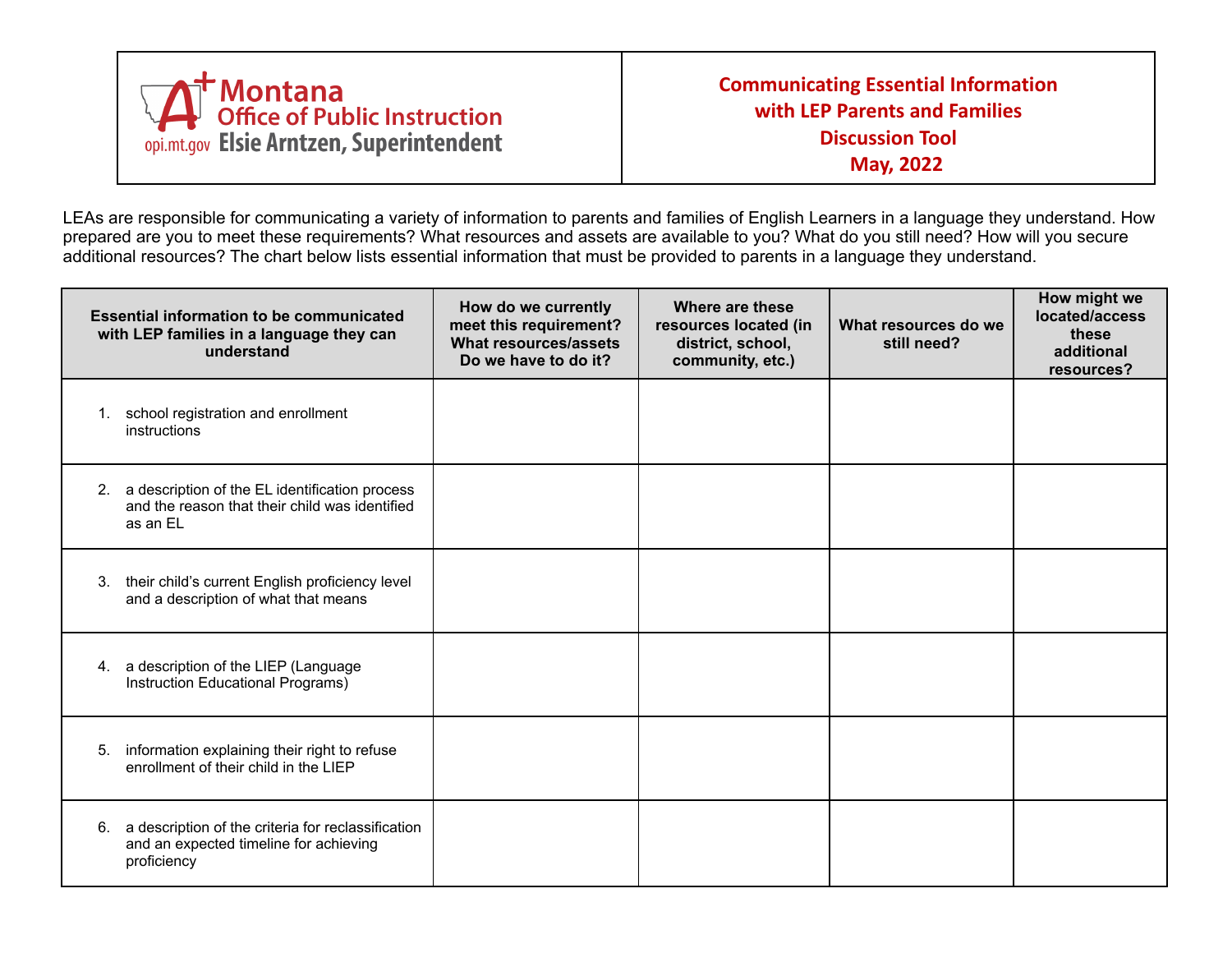

LEAs are responsible for communicating a variety of information to parents and families of English Learners in a language they understand. How prepared are you to meet these requirements? What resources and assets are available to you? What do you still need? How will you secure additional resources? The chart below lists essential information that must be provided to parents in a language they understand.

| <b>Essential information to be communicated</b><br>with LEP families in a language they can<br>understand          | How do we currently<br>meet this requirement?<br>What resources/assets<br>Do we have to do it? | Where are these<br>resources located (in<br>district, school,<br>community, etc.) | What resources do we<br>still need? | How might we<br>located/access<br>these<br>additional<br>resources? |
|--------------------------------------------------------------------------------------------------------------------|------------------------------------------------------------------------------------------------|-----------------------------------------------------------------------------------|-------------------------------------|---------------------------------------------------------------------|
| school registration and enrollment<br>1.<br>instructions                                                           |                                                                                                |                                                                                   |                                     |                                                                     |
| a description of the EL identification process<br>2.<br>and the reason that their child was identified<br>as an EL |                                                                                                |                                                                                   |                                     |                                                                     |
| their child's current English proficiency level<br>3.<br>and a description of what that means                      |                                                                                                |                                                                                   |                                     |                                                                     |
| 4. a description of the LIEP (Language<br>Instruction Educational Programs)                                        |                                                                                                |                                                                                   |                                     |                                                                     |
| information explaining their right to refuse<br>5.<br>enrollment of their child in the LIEP                        |                                                                                                |                                                                                   |                                     |                                                                     |
| a description of the criteria for reclassification<br>6.<br>and an expected timeline for achieving<br>proficiency  |                                                                                                |                                                                                   |                                     |                                                                     |